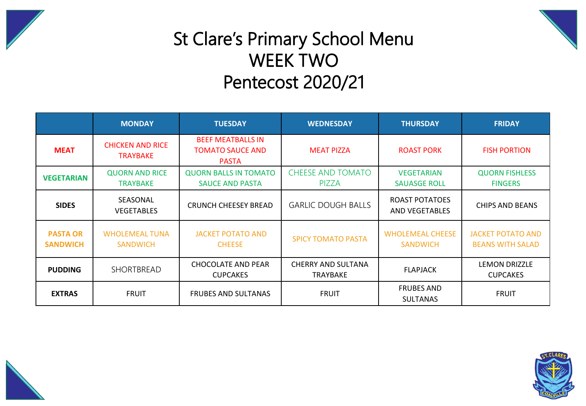



## St Clare's Primary School Menu WEEK TWO Pentecost 2020/21

|                                    | <b>MONDAY</b>                              | <b>TUESDAY</b>                                                      | <b>WEDNESDAY</b>                       | <b>THURSDAY</b>                            | <b>FRIDAY</b>                                       |  |
|------------------------------------|--------------------------------------------|---------------------------------------------------------------------|----------------------------------------|--------------------------------------------|-----------------------------------------------------|--|
| <b>MEAT</b>                        | <b>CHICKEN AND RICE</b><br><b>TRAYBAKE</b> | <b>BEEF MEATBALLS IN</b><br><b>TOMATO SAUCE AND</b><br><b>PASTA</b> | <b>MEAT PIZZA</b><br><b>ROAST PORK</b> |                                            | <b>FISH PORTION</b>                                 |  |
| <b>VEGETARIAN</b>                  | <b>QUORN AND RICE</b><br><b>TRAYBAKE</b>   | <b>QUORN BALLS IN TOMATO</b><br><b>SAUCE AND PASTA</b>              | <b>CHEESE AND TOMATO</b><br>PIZZA      | <b>VEGETARIAN</b><br><b>SAUASGE ROLL</b>   | <b>QUORN FISHLESS</b><br><b>FINGERS</b>             |  |
| <b>SIDES</b>                       | SEASONAL<br><b>VEGETABLES</b>              | CRUNCH CHEESEY BREAD                                                | <b>GARLIC DOUGH BALLS</b>              | ROAST POTATOES<br><b>AND VEGETABLES</b>    | <b>CHIPS AND BEANS</b>                              |  |
| <b>PASTA OR</b><br><b>SANDWICH</b> | <b>WHOLEMEAL TUNA</b><br><b>SANDWICH</b>   | <b>JACKET POTATO AND</b><br><b>CHEESE</b>                           | <b>SPICY TOMATO PASTA</b>              | <b>WHOLEMEAL CHEESE</b><br><b>SANDWICH</b> | <b>JACKET POTATO AND</b><br><b>BEANS WITH SALAD</b> |  |
| <b>PUDDING</b>                     | <b>SHORTBREAD</b>                          | <b>CHOCOLATE AND PEAR</b><br><b>CUPCAKES</b>                        | CHERRY AND SULTANA<br><b>TRAYBAKE</b>  | <b>FLAPJACK</b>                            |                                                     |  |
| <b>EXTRAS</b>                      | <b>FRUIT</b>                               | <b>FRUBES AND SULTANAS</b>                                          | <b>FRUIT</b>                           | <b>FRUBES AND</b><br><b>SULTANAS</b>       | <b>FRUIT</b>                                        |  |